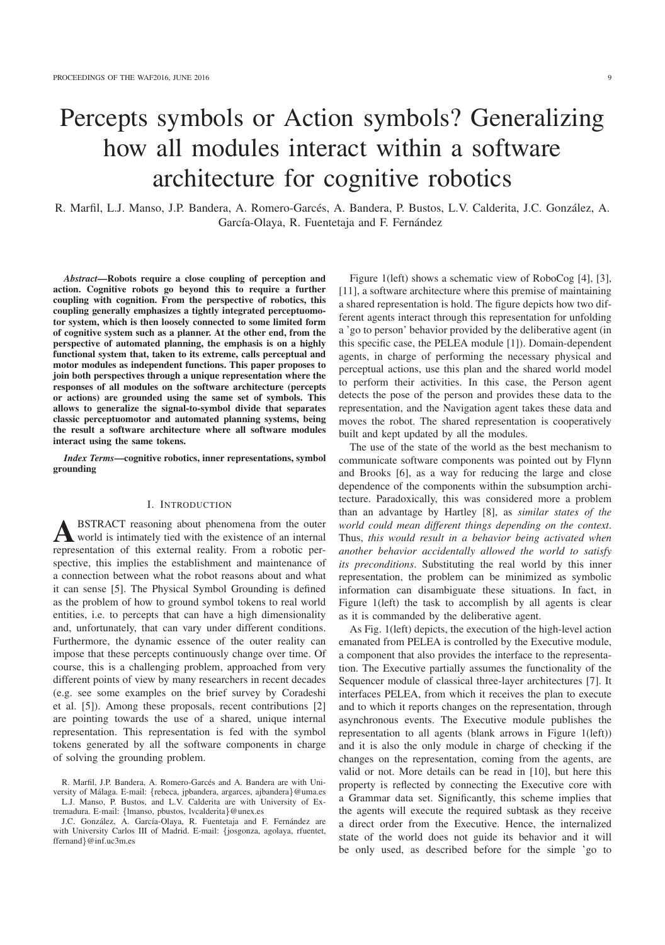# Percepts symbols or Action symbols? Generalizing how all modules interact within a software architecture for cognitive robotics

R. Marfil, L.J. Manso, J.P. Bandera, A. Romero-Garcés, A. Bandera, P. Bustos, L.V. Calderita, J.C. González, A. García-Olaya, R. Fuentetaja and F. Fernández

*Abstract*—Robots require a close coupling of perception and action. Cognitive robots go beyond this to require a further coupling with cognition. From the perspective of robotics, this coupling generally emphasizes a tightly integrated perceptuomotor system, which is then loosely connected to some limited form of cognitive system such as a planner. At the other end, from the perspective of automated planning, the emphasis is on a highly functional system that, taken to its extreme, calls perceptual and motor modules as independent functions. This paper proposes to join both perspectives through a unique representation where the responses of all modules on the software architecture (percepts or actions) are grounded using the same set of symbols. This allows to generalize the signal-to-symbol divide that separates classic perceptuomotor and automated planning systems, being the result a software architecture where all software modules interact using the same tokens.

*Index Terms*—cognitive robotics, inner representations, symbol grounding

## I. INTRODUCTION

**A** BSTRACT reasoning about phenomena from the outer<br>world is intimately tied with the existence of an internal representation of this external reality. From a robotic perspective, this implies the establishment and maintenance of a connection between what the robot reasons about and what it can sense [5]. The Physical Symbol Grounding is defined as the problem of how to ground symbol tokens to real world entities, i.e. to percepts that can have a high dimensionality and, unfortunately, that can vary under different conditions. Furthermore, the dynamic essence of the outer reality can impose that these percepts continuously change over time. Of course, this is a challenging problem, approached from very different points of view by many researchers in recent decades (e.g. see some examples on the brief survey by Coradeshi et al. [5]). Among these proposals, recent contributions [2] are pointing towards the use of a shared, unique internal representation. This representation is fed with the symbol tokens generated by all the software components in charge of solving the grounding problem.

Figure 1(left) shows a schematic view of RoboCog [4], [3], [11], a software architecture where this premise of maintaining a shared representation is hold. The figure depicts how two different agents interact through this representation for unfolding a 'go to person' behavior provided by the deliberative agent (in this specific case, the PELEA module [1]). Domain-dependent agents, in charge of performing the necessary physical and perceptual actions, use this plan and the shared world model to perform their activities. In this case, the Person agent detects the pose of the person and provides these data to the representation, and the Navigation agent takes these data and moves the robot. The shared representation is cooperatively built and kept updated by all the modules.

The use of the state of the world as the best mechanism to communicate software components was pointed out by Flynn and Brooks [6], as a way for reducing the large and close dependence of the components within the subsumption architecture. Paradoxically, this was considered more a problem than an advantage by Hartley [8], as *similar states of the world could mean different things depending on the context*. Thus, *this would result in a behavior being activated when another behavior accidentally allowed the world to satisfy its preconditions*. Substituting the real world by this inner representation, the problem can be minimized as symbolic information can disambiguate these situations. In fact, in Figure 1(left) the task to accomplish by all agents is clear as it is commanded by the deliberative agent.

As Fig. 1(left) depicts, the execution of the high-level action emanated from PELEA is controlled by the Executive module, a component that also provides the interface to the representation. The Executive partially assumes the functionality of the Sequencer module of classical three-layer architectures [7]. It interfaces PELEA, from which it receives the plan to execute and to which it reports changes on the representation, through asynchronous events. The Executive module publishes the representation to all agents (blank arrows in Figure 1(left)) and it is also the only module in charge of checking if the changes on the representation, coming from the agents, are valid or not. More details can be read in [10], but here this property is reflected by connecting the Executive core with a Grammar data set. Significantly, this scheme implies that the agents will execute the required subtask as they receive a direct order from the Executive. Hence, the internalized state of the world does not guide its behavior and it will be only used, as described before for the simple 'go to

R. Marfil, J.P. Bandera, A. Romero-Garcés and A. Bandera are with University of Málaga. E-mail: {rebeca, jpbandera, argarces, ajbandera}@uma.es L.J. Manso, P. Bustos, and L.V. Calderita are with University of Extremadura. E-mail: {lmanso, pbustos, lvcalderita}@unex.es

J.C. González, A. García-Olaya, R. Fuentetaja and F. Fernández are with University Carlos III of Madrid. E-mail: {josgonza, agolaya, rfuentet, ffernand}@inf.uc3m.es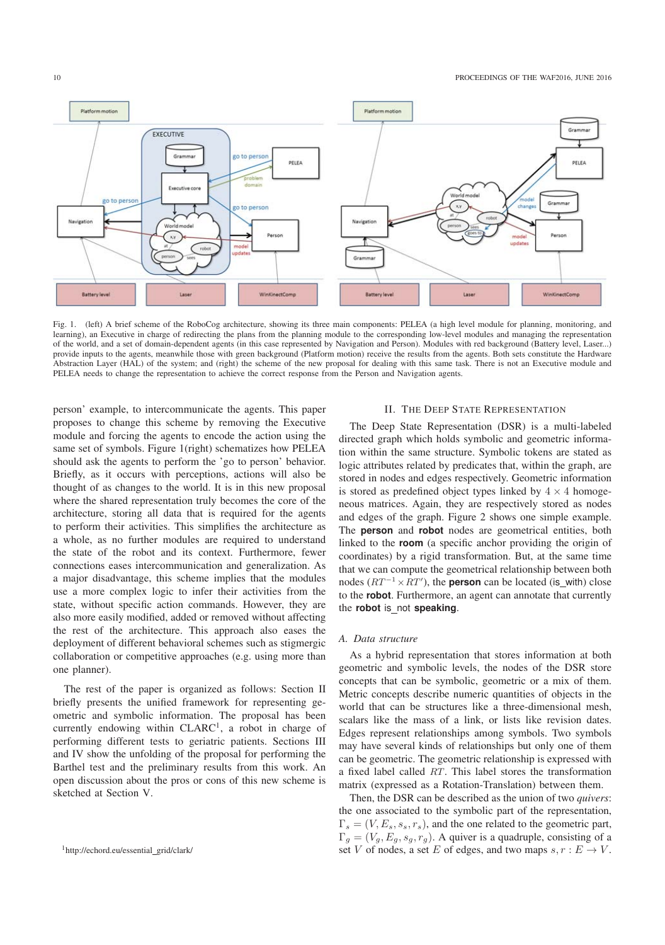

Fig. 1. (left) A brief scheme of the RoboCog architecture, showing its three main components: PELEA (a high level module for planning, monitoring, and learning), an Executive in charge of redirecting the plans from the planning module to the corresponding low-level modules and managing the representation<br>of the world, and a set of domain-dependent agents (in this case re provide inputs to the agents, meanwhile those with green background (Platform motion) receive the results from the agents. Both sets constitute the Hardware Abstraction Layer (HAL) of the system; and (right) the scheme of the new proposal for dealing with this same task. There is not an Executive module and PELEA needs to change the representation to achieve the correct response from the Person and Navigation agents.

person' example, to intercommunicate the agents. This paper proposes to change this scheme by removing the Executive module and forcing the agents to encode the action using the same set of symbols. Figure 1(right) schematizes how PELEA should ask the agents to perform the 'go to person' behavior. Briefly, as it occurs with perceptions, actions will also be thought of as changes to the world. It is in this new proposal where the shared representation truly becomes the core of the architecture, storing all data that is required for the agents to perform their activities. This simplifies the architecture as a whole, as no further modules are required to understand the state of the robot and its context. Furthermore, fewer connections eases intercommunication and generalization. As a major disadvantage, this scheme implies that the modules use a more complex logic to infer their activities from the state, without specific action commands. However, they are also more easily modified, added or removed without affecting the rest of the architecture. This approach also eases the deployment of different behavioral schemes such as stigmergic collaboration or competitive approaches (e.g. using more than one planner).

The rest of the paper is organized as follows: Section II briefly presents the unified framework for representing geometric and symbolic information. The proposal has been currently endowing within CLARC<sup>1</sup>, a robot in charge of performing different tests to geriatric patients. Sections III and IV show the unfolding of the proposal for performing the Barthel test and the preliminary results from this work. An open discussion about the pros or cons of this new scheme is sketched at Section V.

# II. THE DEEP STATE REPRESENTATION

The Deep State Representation (DSR) is a multi-labeled directed graph which holds symbolic and geometric information within the same structure. Symbolic tokens are stated as logic attributes related by predicates that, within the graph, are stored in nodes and edges respectively. Geometric information is stored as predefined object types linked by  $4 \times 4$  homogeneous matrices. Again, they are respectively stored as nodes and edges of the graph. Figure 2 shows one simple example. The **person** and **robot** nodes are geometrical entities, both linked to the **room** (a specific anchor providing the origin of coordinates) by a rigid transformation. But, at the same time that we can compute the geometrical relationship between both nodes  $(RT^{-1} \times RT')$ , the **person** can be located (is\_with) close<br>to the **robot** Eurthermore, an agent can apparent that currently to the **robot**. Furthermore, an agent can annotate that currently the **robot** is not **speaking**.

### *A. Data structure*

As a hybrid representation that stores information at both geometric and symbolic levels, the nodes of the DSR store concepts that can be symbolic, geometric or a mix of them. Metric concepts describe numeric quantities of objects in the world that can be structures like a three-dimensional mesh, scalars like the mass of a link, or lists like revision dates. Edges represent relationships among symbols. Two symbols may have several kinds of relationships but only one of them can be geometric. The geometric relationship is expressed with a fixed label called RT. This label stores the transformation matrix (expressed as a Rotation-Translation) between them.

Then, the DSR can be described as the union of two *quivers*: the one associated to the symbolic part of the representation,  $\Gamma_s = (V, E_s, s_s, r_s)$ , and the one related to the geometric part,  $\Gamma_g = (V_g, E_g, s_g, r_g)$ . A quiver is a quadruple, consisting of a set V of nodes, a set E of edges, and two maps  $s, r : E \to V$ .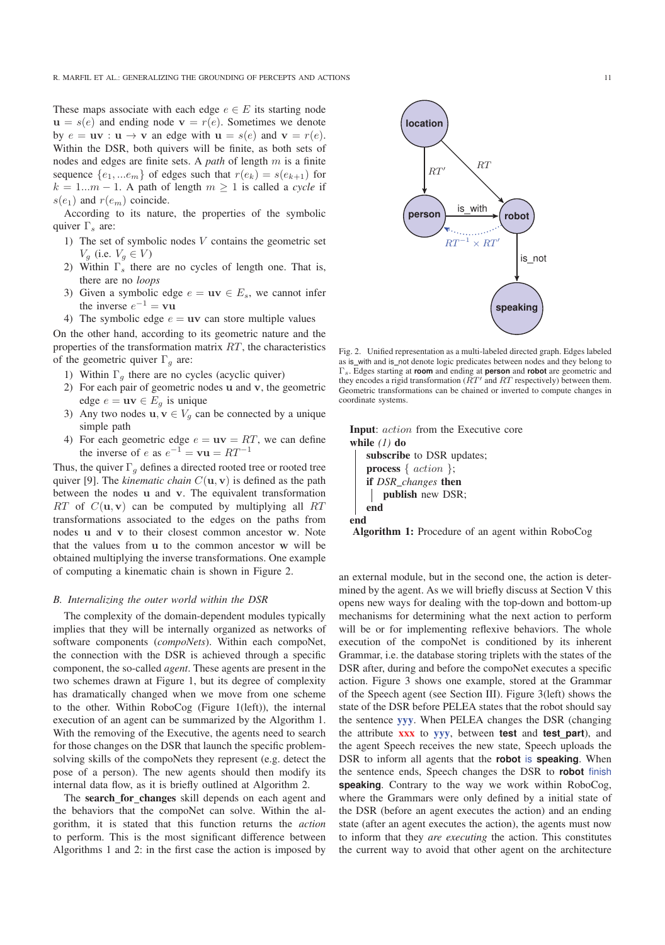These maps associate with each edge  $e \in E$  its starting node  $u = s(e)$  and ending node  $v = r(e)$ . Sometimes we denote by  $e = uv : u \to v$  an edge with  $u = s(e)$  and  $v = r(e)$ . Within the DSR, both quivers will be finite, as both sets of nodes and edges are finite sets. A *path* of length m is a finite sequence  $\{e_1, ... e_m\}$  of edges such that  $r(e_k) = s(e_{k+1})$  for  $k = 1...m - 1$ . A path of length  $m \ge 1$  is called a *cycle* if  $s(e_1)$  and  $r(e_m)$  coincide.

According to its nature, the properties of the symbolic quiver  $\Gamma_s$  are:

- 1) The set of symbolic nodes V contains the geometric set  $V_q$  (i.e.  $V_q \in V$ )
- 2) Within  $\Gamma_s$  there are no cycles of length one. That is, there are no *loops*
- 3) Given a symbolic edge  $e = uv \in E_s$ , we cannot infer the inverse  $e^{-1} = \mathbf{v}\mathbf{u}$
- 4) The symbolic edge  $e = uv$  can store multiple values

On the other hand, according to its geometric nature and the properties of the transformation matrix  $RT$ , the characteristics of the geometric quiver  $\Gamma_q$  are:

- 1) Within  $\Gamma_q$  there are no cycles (acyclic quiver)
- 2) For each pair of geometric nodes **u** and **v**, the geometric edge  $e = uv \in E_q$  is unique
- 3) Any two nodes  $\mathbf{u}, \mathbf{v} \in V_q$  can be connected by a unique simple path
- 4) For each geometric edge  $e = uv = RT$ , we can define the inverse of e as  $e^{-1} = \mathbf{v}\mathbf{u} = RT^{-1}$

Thus, the quiver  $\Gamma_a$  defines a directed rooted tree or rooted tree quiver [9]. The *kinematic chain*  $C(\mathbf{u}, \mathbf{v})$  is defined as the path between the nodes **u** and **v**. The equivalent transformation  $RT$  of  $C(\mathbf{u}, \mathbf{v})$  can be computed by multiplying all  $RT$ transformations associated to the edges on the paths from nodes **u** and **v** to their closest common ancestor **w**. Note that the values from **u** to the common ancestor **w** will be obtained multiplying the inverse transformations. One example of computing a kinematic chain is shown in Figure 2.

#### *B. Internalizing the outer world within the DSR*

The complexity of the domain-dependent modules typically implies that they will be internally organized as networks of software components (*compoNets*). Within each compoNet, the connection with the DSR is achieved through a specific component, the so-called *agent*. These agents are present in the two schemes drawn at Figure 1, but its degree of complexity has dramatically changed when we move from one scheme to the other. Within RoboCog (Figure 1(left)), the internal execution of an agent can be summarized by the Algorithm 1. With the removing of the Executive, the agents need to search for those changes on the DSR that launch the specific problemsolving skills of the compoNets they represent (e.g. detect the pose of a person). The new agents should then modify its internal data flow, as it is briefly outlined at Algorithm 2.

The search\_for\_changes skill depends on each agent and the behaviors that the compoNet can solve. Within the algorithm, it is stated that this function returns the *action* to perform. This is the most significant difference between Algorithms 1 and 2: in the first case the action is imposed by



Fig. 2. Unified representation as a multi-labeled directed graph. Edges labeled as is\_with and is\_not denote logic predicates between nodes and they belong to <sup>Γ</sup>s. Edges starting at **room** and ending at **person** and **robot** are geometric and they encodes a rigid transformation  $(RT<sup>'</sup>$  and  $RT$  respectively) between them. Geometric transformations can be chained or inverted to compute changes in coordinate systems.

```
Input: action from the Executive core
while (1) do
   subscribe to DSR updates;
   process \{action\};if DSR changes then
      publish new DSR;
   end
end
```
Algorithm 1: Procedure of an agent within RoboCog

an external module, but in the second one, the action is determined by the agent. As we will briefly discuss at Section V this opens new ways for dealing with the top-down and bottom-up mechanisms for determining what the next action to perform will be or for implementing reflexive behaviors. The whole execution of the compoNet is conditioned by its inherent Grammar, i.e. the database storing triplets with the states of the DSR after, during and before the compoNet executes a specific action. Figure 3 shows one example, stored at the Grammar of the Speech agent (see Section III). Figure 3(left) shows the state of the DSR before PELEA states that the robot should say the sentence yyy. When PELEA changes the DSR (changing the attribute xxx to yyy, between **test** and **test part**), and the agent Speech receives the new state, Speech uploads the DSR to inform all agents that the **robot** is **speaking**. When the sentence ends, Speech changes the DSR to **robot** finish **speaking**. Contrary to the way we work within RoboCog, where the Grammars were only defined by a initial state of the DSR (before an agent executes the action) and an ending state (after an agent executes the action), the agents must now to inform that they *are executing* the action. This constitutes the current way to avoid that other agent on the architecture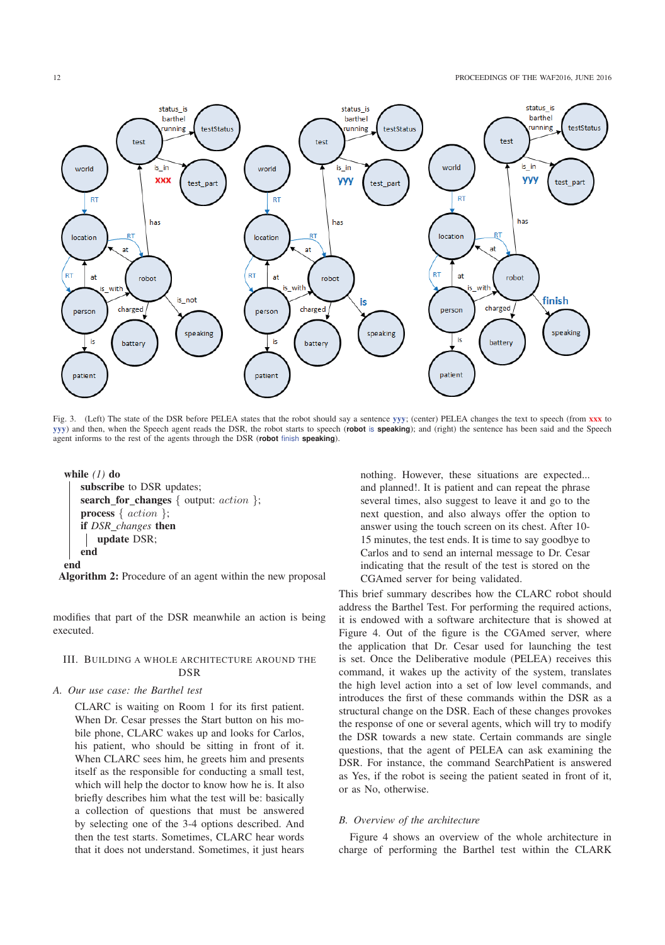

Fig. 3. (Left) The state of the DSR before PELEA states that the robot should say a sentence yyy; (center) PELEA changes the text to speech (from xxx to yyy) and then, when the Speech agent reads the DSR, the robot starts to speech (**robot** is **speaking**); and (right) the sentence has been said and the Speech agent informs to the rest of the agents through the DSR (**robot** finish **speaking**).

```
while (1) do
   subscribe to DSR updates;
   search_for_changes { output: action };
   process { action };
   if DSR changes then
      update DSR;
   end
end
```
Algorithm 2: Procedure of an agent within the new proposal

modifies that part of the DSR meanwhile an action is being executed.

# III. BUILDING A WHOLE ARCHITECTURE AROUND THE DSD

#### *A. Our use case: the Barthel test*

CLARC is waiting on Room 1 for its first patient. When Dr. Cesar presses the Start button on his mobile phone, CLARC wakes up and looks for Carlos, his patient, who should be sitting in front of it. When CLARC sees him, he greets him and presents itself as the responsible for conducting a small test, which will help the doctor to know how he is. It also briefly describes him what the test will be: basically a collection of questions that must be answered by selecting one of the 3-4 options described. And then the test starts. Sometimes, CLARC hear words that it does not understand. Sometimes, it just hears nothing. However, these situations are expected... and planned!. It is patient and can repeat the phrase several times, also suggest to leave it and go to the next question, and also always offer the option to answer using the touch screen on its chest. After 10- 15 minutes, the test ends. It is time to say goodbye to Carlos and to send an internal message to Dr. Cesar indicating that the result of the test is stored on the CGAmed server for being validated.

This brief summary describes how the CLARC robot should address the Barthel Test. For performing the required actions, it is endowed with a software architecture that is showed at Figure 4. Out of the figure is the CGAmed server, where the application that Dr. Cesar used for launching the test is set. Once the Deliberative module (PELEA) receives this command, it wakes up the activity of the system, translates the high level action into a set of low level commands, and introduces the first of these commands within the DSR as a structural change on the DSR. Each of these changes provokes the response of one or several agents, which will try to modify the DSR towards a new state. Certain commands are single questions, that the agent of PELEA can ask examining the DSR. For instance, the command SearchPatient is answered as Yes, if the robot is seeing the patient seated in front of it, or as No, otherwise.

### *B. Overview of the architecture*

Figure 4 shows an overview of the whole architecture in charge of performing the Barthel test within the CLARK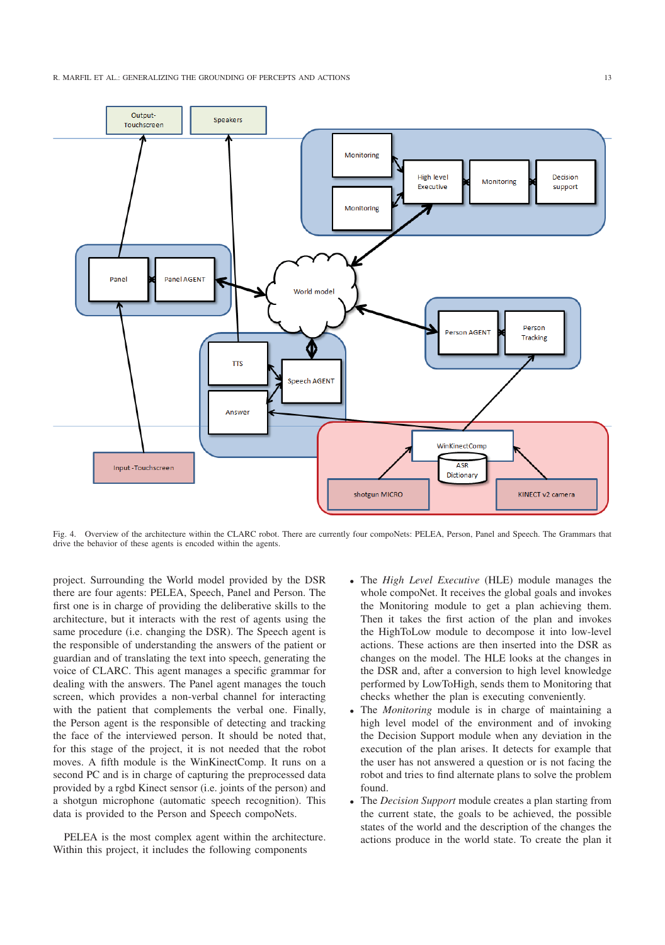

Fig. 4. Overview of the architecture within the CLARC robot. There are currently four compoNets: PELEA, Person, Panel and Speech. The Grammars that drive the behavior of these agents is encoded within the agents.

project. Surrounding the World model provided by the DSR there are four agents: PELEA, Speech, Panel and Person. The first one is in charge of providing the deliberative skills to the architecture, but it interacts with the rest of agents using the same procedure (i.e. changing the DSR). The Speech agent is the responsible of understanding the answers of the patient or guardian and of translating the text into speech, generating the voice of CLARC. This agent manages a specific grammar for dealing with the answers. The Panel agent manages the touch screen, which provides a non-verbal channel for interacting with the patient that complements the verbal one. Finally, the Person agent is the responsible of detecting and tracking the face of the interviewed person. It should be noted that, for this stage of the project, it is not needed that the robot moves. A fifth module is the WinKinectComp. It runs on a second PC and is in charge of capturing the preprocessed data provided by a rgbd Kinect sensor (i.e. joints of the person) and a shotgun microphone (automatic speech recognition). This data is provided to the Person and Speech compoNets.

PELEA is the most complex agent within the architecture. Within this project, it includes the following components

- The *High Level Executive* (HLE) module manages the whole compoNet. It receives the global goals and invokes the Monitoring module to get a plan achieving them. Then it takes the first action of the plan and invokes the HighToLow module to decompose it into low-level actions. These actions are then inserted into the DSR as changes on the model. The HLE looks at the changes in the DSR and, after a conversion to high level knowledge performed by LowToHigh, sends them to Monitoring that checks whether the plan is executing conveniently.
- The *Monitoring* module is in charge of maintaining a high level model of the environment and of invoking the Decision Support module when any deviation in the execution of the plan arises. It detects for example that the user has not answered a question or is not facing the robot and tries to find alternate plans to solve the problem found.
- The *Decision Support* module creates a plan starting from the current state, the goals to be achieved, the possible states of the world and the description of the changes the actions produce in the world state. To create the plan it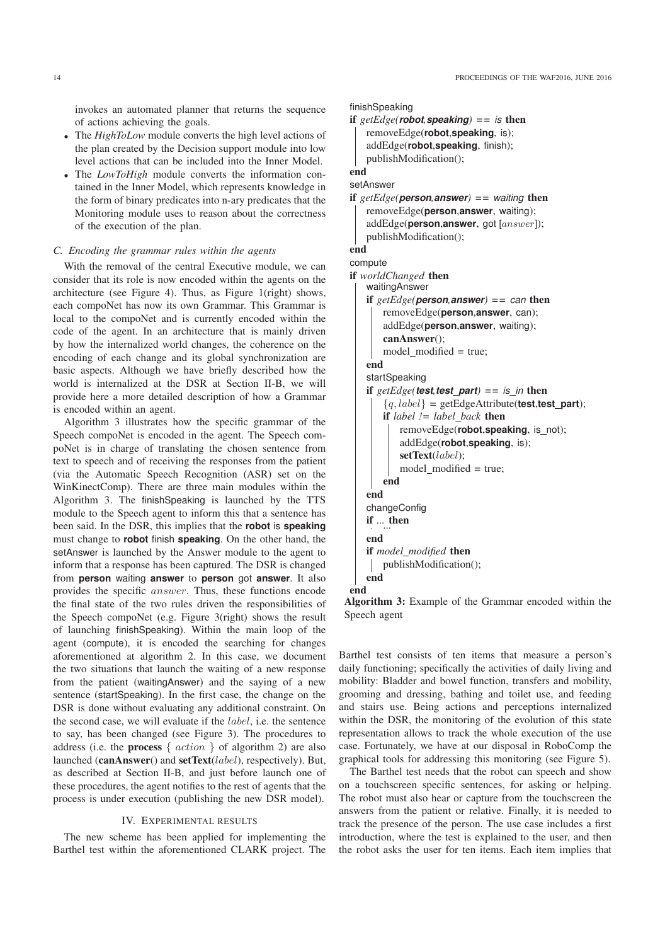invokes an automated planner that returns the sequence of actions achieving the goals.

- The *HighToLow* module converts the high level actions of the plan created by the Decision support module into low level actions that can be included into the Inner Model.
- The *LowToHigh* module converts the information contained in the Inner Model, which represents knowledge in the form of binary predicates into n-ary predicates that the Monitoring module uses to reason about the correctness of the execution of the plan.

## *C. Encoding the grammar rules within the agents*

With the removal of the central Executive module, we can consider that its role is now encoded within the agents on the architecture (see Figure 4). Thus, as Figure 1(right) shows, each compoNet has now its own Grammar. This Grammar is local to the compoNet and is currently encoded within the code of the agent. In an architecture that is mainly driven by how the internalized world changes, the coherence on the encoding of each change and its global synchronization are basic aspects. Although we have briefly described how the world is internalized at the DSR at Section II-B, we will provide here a more detailed description of how a Grammar is encoded within an agent.

Algorithm 3 illustrates how the specific grammar of the Speech compoNet is encoded in the agent. The Speech compoNet is in charge of translating the chosen sentence from text to speech and of receiving the responses from the patient (via the Automatic Speech Recognition (ASR) set on the WinKinectComp). There are three main modules within the Algorithm 3. The finishSpeaking is launched by the TTS module to the Speech agent to inform this that a sentence has been said. In the DSR, this implies that the **robot** is **speaking** must change to **robot** finish **speaking**. On the other hand, the setAnswer is launched by the Answer module to the agent to inform that a response has been captured. The DSR is changed from **person** waiting **answer** to **person** got **answer**. It also provides the specific answer. Thus, these functions encode the final state of the two rules driven the responsibilities of the Speech compoNet (e.g. Figure 3(right) shows the result of launching finishSpeaking). Within the main loop of the agent (compute), it is encoded the searching for changes aforementioned at algorithm 2. In this case, we document the two situations that launch the waiting of a new response from the patient (waitingAnswer) and the saying of a new sentence (startSpeaking). In the first case, the change on the DSR is done without evaluating any additional constraint. On the second case, we will evaluate if the label, i.e. the sentence to say, has been changed (see Figure 3). The procedures to address (i.e. the **process**  $\{action\}$  of algorithm 2) are also launched (canAnswer() and setText(*label*), respectively). But, as described at Section II-B, and just before launch one of these procedures, the agent notifies to the rest of agents that the process is under execution (publishing the new DSR model).

#### IV. EXPERIMENTAL RESULTS

The new scheme has been applied for implementing the Barthel test within the aforementioned CLARK project. The

```
if getEdge(robot, speaking) == is then<br>\downarrow temp = \frac{1}{2}removeEdge(robot,speaking, is);
    addEdge(robot,speaking, finish);
    publishModification();
```
end cotAncwor

```
if getEdge(person,answer) == waiting then<br>| removeEdge(person answer waiting);
    removeEdge(person,answer, waiting);
    addEdge(person,answer, got [answer]);
    publishModification();
```
end

```
compute
if worldChanged then
```

```
if getEdge(\text{person}, \text{answer}) == can then<br>\downarrow \downarrow \downarrow \downarrow \downarrow \downarrow \downarrow \downarrow \downarrow \downarrow \downarrow \downarrow \downarrow \downarrow \downarrow \downarrow \downarrow \downarrow \downarrow \downarrow \downarrow \downarrow \downarrow \downarrow \downarrow \downarrow \downarrow \downarrow \downarrow \downarrow \downarrow \downarrow \downarrowremoveEdge(person,answer, can);
               addEdge(person,answer, waiting);
              canAnswer();
              model_modified = true;
       end
        if getEdge(\text{test}, \text{test\_part}) == is_in then<br>\frac{1}{2} \frac{[a, laba]}{=} artEdge Attribute(test to
               {q, label} = getEdgeAttribute(<b>test.test part</b>);if label != label back then
                      removeEdge(robot,speaking, is not);
                      addEdge(robot,speaking, is);
                      setText(label);
                      model_modified = true;
              end
       end
        if ... then ...
       end
       if model modified then
           publishModification();
       end
end
```
Algorithm 3: Example of the Grammar encoded within the Speech agent

Barthel test consists of ten items that measure a person's daily functioning; specifically the activities of daily living and mobility: Bladder and bowel function, transfers and mobility, grooming and dressing, bathing and toilet use, and feeding and stairs use. Being actions and perceptions internalized within the DSR, the monitoring of the evolution of this state representation allows to track the whole execution of the use case. Fortunately, we have at our disposal in RoboComp the graphical tools for addressing this monitoring (see Figure 5).

The Barthel test needs that the robot can speech and show on a touchscreen specific sentences, for asking or helping. The robot must also hear or capture from the touchscreen the answers from the patient or relative. Finally, it is needed to track the presence of the person. The use case includes a first introduction, where the test is explained to the user, and then the robot asks the user for ten items. Each item implies that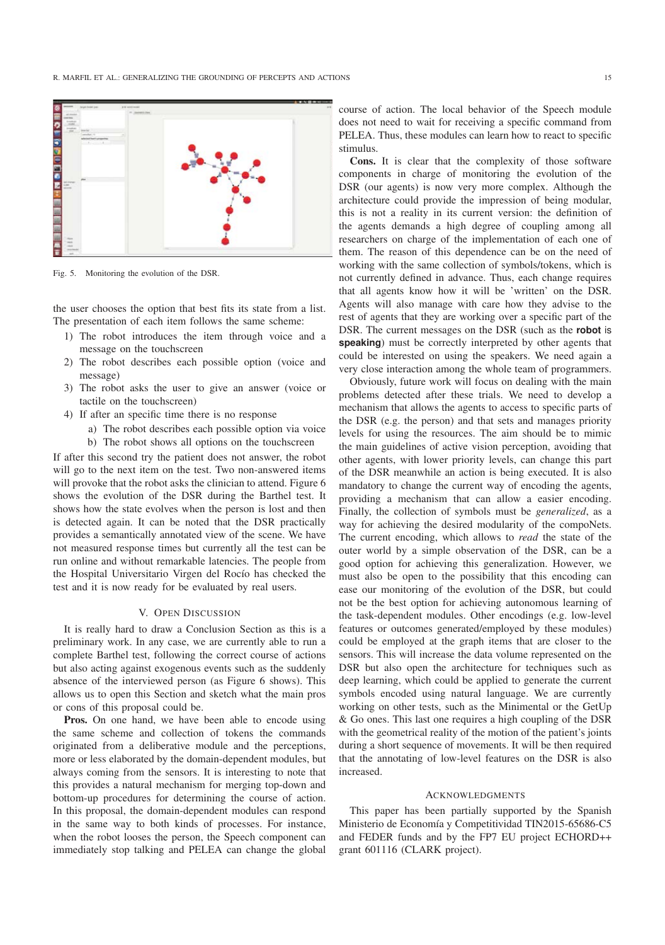

Fig. 5. Monitoring the evolution of the DSR.

the user chooses the option that best fits its state from a list. The presentation of each item follows the same scheme:

- 1) The robot introduces the item through voice and a message on the touchscreen
- 2) The robot describes each possible option (voice and message)
- 3) The robot asks the user to give an answer (voice or tactile on the touchscreen)
- 4) If after an specific time there is no response
	- a) The robot describes each possible option via voice
	- b) The robot shows all options on the touchscreen

If after this second try the patient does not answer, the robot will go to the next item on the test. Two non-answered items will provoke that the robot asks the clinician to attend. Figure 6 shows the evolution of the DSR during the Barthel test. It shows how the state evolves when the person is lost and then is detected again. It can be noted that the DSR practically provides a semantically annotated view of the scene. We have not measured response times but currently all the test can be run online and without remarkable latencies. The people from the Hospital Universitario Virgen del Rocío has checked the test and it is now ready for be evaluated by real users.

## V. OPEN DISCUSSION

It is really hard to draw a Conclusion Section as this is a preliminary work. In any case, we are currently able to run a complete Barthel test, following the correct course of actions but also acting against exogenous events such as the suddenly absence of the interviewed person (as Figure 6 shows). This allows us to open this Section and sketch what the main pros or cons of this proposal could be.

Pros. On one hand, we have been able to encode using the same scheme and collection of tokens the commands originated from a deliberative module and the perceptions, more or less elaborated by the domain-dependent modules, but always coming from the sensors. It is interesting to note that this provides a natural mechanism for merging top-down and bottom-up procedures for determining the course of action. In this proposal, the domain-dependent modules can respond in the same way to both kinds of processes. For instance, when the robot looses the person, the Speech component can immediately stop talking and PELEA can change the global course of action. The local behavior of the Speech module does not need to wait for receiving a specific command from PELEA. Thus, these modules can learn how to react to specific stimulus.

Cons. It is clear that the complexity of those software components in charge of monitoring the evolution of the DSR (our agents) is now very more complex. Although the architecture could provide the impression of being modular, this is not a reality in its current version: the definition of the agents demands a high degree of coupling among all researchers on charge of the implementation of each one of them. The reason of this dependence can be on the need of working with the same collection of symbols/tokens, which is not currently defined in advance. Thus, each change requires that all agents know how it will be 'written' on the DSR. Agents will also manage with care how they advise to the rest of agents that they are working over a specific part of the DSR. The current messages on the DSR (such as the **robot** is **speaking**) must be correctly interpreted by other agents that could be interested on using the speakers. We need again a very close interaction among the whole team of programmers.

Obviously, future work will focus on dealing with the main problems detected after these trials. We need to develop a mechanism that allows the agents to access to specific parts of the DSR (e.g. the person) and that sets and manages priority levels for using the resources. The aim should be to mimic the main guidelines of active vision perception, avoiding that other agents, with lower priority levels, can change this part of the DSR meanwhile an action is being executed. It is also mandatory to change the current way of encoding the agents, providing a mechanism that can allow a easier encoding. Finally, the collection of symbols must be *generalized*, as a way for achieving the desired modularity of the compoNets. The current encoding, which allows to *read* the state of the outer world by a simple observation of the DSR, can be a good option for achieving this generalization. However, we must also be open to the possibility that this encoding can ease our monitoring of the evolution of the DSR, but could not be the best option for achieving autonomous learning of the task-dependent modules. Other encodings (e.g. low-level features or outcomes generated/employed by these modules) could be employed at the graph items that are closer to the sensors. This will increase the data volume represented on the DSR but also open the architecture for techniques such as deep learning, which could be applied to generate the current symbols encoded using natural language. We are currently working on other tests, such as the Minimental or the GetUp & Go ones. This last one requires a high coupling of the DSR with the geometrical reality of the motion of the patient's joints during a short sequence of movements. It will be then required that the annotating of low-level features on the DSR is also increased.

## **ACKNOWLEDGMENTS**

This paper has been partially supported by the Spanish Ministerio de Economía y Competitividad TIN2015-65686-C5 and FEDER funds and by the FP7 EU project ECHORD++ grant 601116 (CLARK project).